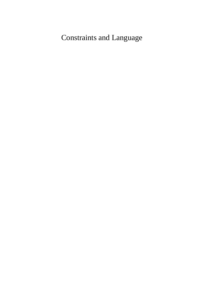Constraints and Language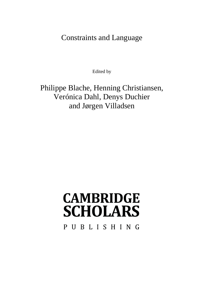Constraints and Language

Edited by

Philippe Blache, Henning Christiansen, Verónica Dahl, Denys Duchier and Jørgen Villadsen

# **CAMBRIDGE SCHOLARS**

PUBLISHING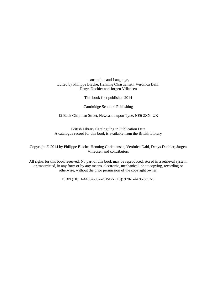Constraints and Language, Edited by Philippe Blache, Henning Christiansen, Verónica Dahl, Denys Duchier and Jørgen Villadsen

This book first published 2014

Cambridge Scholars Publishing

12 Back Chapman Street, Newcastle upon Tyne, NE6 2XX, UK

British Library Cataloguing in Publication Data A catalogue record for this book is available from the British Library

Copyright © 2014 by Philippe Blache, Henning Christiansen, Verónica Dahl, Denys Duchier, Jørgen Villadsen and contributors

All rights for this book reserved. No part of this book may be reproduced, stored in a retrieval system, or transmitted, in any form or by any means, electronic, mechanical, photocopying, recording or otherwise, without the prior permission of the copyright owner.

ISBN (10): 1-4438-6052-2, ISBN (13): 978-1-4438-6052-9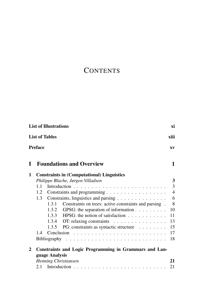# **CONTENTS**

|              | <b>List of Illustrations</b>  |                |                                                                               |                |  |
|--------------|-------------------------------|----------------|-------------------------------------------------------------------------------|----------------|--|
|              | <b>List of Tables</b><br>xiii |                |                                                                               |                |  |
|              | <b>Preface</b>                |                |                                                                               | XV             |  |
| I            |                               |                | <b>Foundations and Overview</b>                                               | 1              |  |
| 1            |                               |                | <b>Constraints in (Computational) Linguistics</b>                             |                |  |
|              |                               |                | Philippe Blache, Jørgen Villadsen                                             | 3              |  |
|              | 1.1                           |                |                                                                               | $\overline{3}$ |  |
|              |                               |                |                                                                               | $\overline{4}$ |  |
|              |                               |                | 1.3 Constraints, linguistics and parsing                                      | 6              |  |
|              |                               | 1.3.1          | Constraints on trees: active constraints and parsing .                        | - 8            |  |
|              |                               |                | 1.3.2 GPSG: the separation of information                                     | 10             |  |
|              |                               |                | 1.3.3 HPSG: the notion of satisfaction                                        | 11             |  |
|              |                               |                | 1.3.4 OT: relaxing constraints                                                | 13             |  |
|              |                               |                | 1.3.5 PG: constraints as syntactic structure $\dots \dots$                    | 15             |  |
|              | 1.4                           |                |                                                                               | 17             |  |
|              |                               |                | Bibliography $\ldots \ldots \ldots \ldots \ldots \ldots \ldots \ldots \ldots$ | 18             |  |
| $\mathbf{2}$ |                               | guage Analysis | <b>Constraints and Logic Programming in Grammars and Lan-</b>                 |                |  |
|              |                               |                | Henning Christiansen                                                          | 21             |  |
|              |                               |                |                                                                               | 21             |  |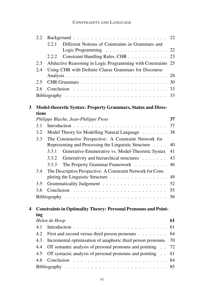# CONSTRAINTS AND LANGUAGE

|   | 2.2   |                                                                                | 22 |
|---|-------|--------------------------------------------------------------------------------|----|
|   |       | Different Notions of Constraints in Grammars and<br>2.2.1                      |    |
|   |       | Logic Programming                                                              | 22 |
|   |       | Constraint Handling Rules, CHR<br>2.2.2                                        | 23 |
|   | 2.3   | Abductive Reasoning in Logic Programming with Constraints                      | 25 |
|   | 2.4   | Using CHR with Definite Clause Grammars for Discourse                          |    |
|   |       |                                                                                | 28 |
|   | 2.5   |                                                                                | 30 |
|   | 2.6   |                                                                                | 33 |
|   |       | Bibliography                                                                   | 33 |
| 3 |       | Model-theoretic Syntax: Property Grammars, Status and Direc-                   |    |
|   | tions | Philippe Blache, Jean-Philippe Prost                                           | 37 |
|   | 3.1   |                                                                                | 37 |
|   | 3.2   | Model Theory for Modelling Natural Language                                    | 38 |
|   | 3.3   | The Constructive Perspective: A Constraint Network for                         |    |
|   |       | Representing and Processing the Linguistic Structure                           | 40 |
|   |       | Generative-Enumerative vs. Model-Theoretic Syntax<br>3.3.1                     | 41 |
|   |       | Generativity and hierarchical structures<br>3.3.2                              | 43 |
|   |       | The Property Grammar Framework<br>3.3.3                                        | 46 |
|   | 3.4   | The Descriptive Perspective: A Constraint Network for Com-                     |    |
|   |       | pleting the Linguistic Structure                                               | 49 |
|   | 3.5   |                                                                                | 52 |
|   | 3.6   |                                                                                | 55 |
|   |       | Bibliography                                                                   | 56 |
| 4 |       | <b>Constraints in Optimality Theory: Personal Pronouns and Point-</b>          |    |
|   | ing   |                                                                                |    |
|   |       | Helen de Hoop                                                                  | 61 |
|   | 4.1   |                                                                                | 61 |
|   | 4.2   | First and second versus third person pronouns                                  | 64 |
|   | 4.3   | Incremental optimisation of anaphoric third person pronouns                    | 70 |
|   | 4.4   | OT semantic analysis of personal pronouns and pointing<br>$\ddot{\phantom{a}}$ | 72 |
|   | 4.5   | OT syntactic analysis of personal pronouns and pointing                        | 81 |
|   | 4.6   | Conclusion                                                                     | 84 |
|   |       | Bibliography                                                                   | 85 |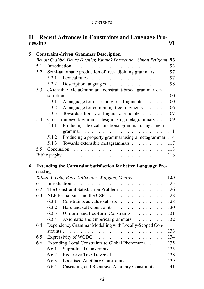# **CONTENTS**

# II Recent Advances in Constraints and Language Processing 91

| 5 |         |       | <b>Constraint-driven Grammar Description</b>                          |     |  |  |  |
|---|---------|-------|-----------------------------------------------------------------------|-----|--|--|--|
|   |         |       | Benoît Crabbé, Denys Duchier, Yannick Parmentier, Simon Petitjean 93  |     |  |  |  |
|   | 5.1     |       |                                                                       | 93  |  |  |  |
|   | 5.2     |       | Semi-automatic production of tree-adjoining grammars                  | 97  |  |  |  |
|   |         | 5.2.1 |                                                                       | 97  |  |  |  |
|   |         | 5.2.2 | Description languages                                                 | 98  |  |  |  |
|   | 5.3     |       | eXtensible MetaGrammar: constraint-based grammar de-                  |     |  |  |  |
|   |         |       |                                                                       |     |  |  |  |
|   |         | 5.3.1 | A language for describing tree fragments 100                          |     |  |  |  |
|   |         | 5.3.2 | A language for combining tree fragments 106                           |     |  |  |  |
|   |         | 5.3.3 | Towards a library of linguistic principles 107                        |     |  |  |  |
|   | 5.4     |       | Cross framework grammar design using metagrammars 109                 |     |  |  |  |
|   |         | 5.4.1 | Producing a lexical-functional grammar using a meta-                  |     |  |  |  |
|   |         |       |                                                                       |     |  |  |  |
|   |         | 5.4.2 | Producing a property grammar using a metagrammar 114                  |     |  |  |  |
|   |         | 5.4.3 | Towards extensible metagrammars 117                                   |     |  |  |  |
|   | 5.5     |       |                                                                       |     |  |  |  |
|   |         |       |                                                                       |     |  |  |  |
| 6 |         |       | <b>Extending the Constraint Satisfaction for better Language Pro-</b> |     |  |  |  |
|   | cessing |       |                                                                       |     |  |  |  |
|   |         |       |                                                                       |     |  |  |  |
|   |         |       | Kilian A. Foth, Patrick McCrae, Wolfgang Menzel                       | 123 |  |  |  |
|   | 6.1     |       |                                                                       |     |  |  |  |
|   | 6.2     |       | The Constraint Satisfaction Problem 126                               |     |  |  |  |
|   | 6.3     |       | NLP formalisms and the CSP 128                                        |     |  |  |  |
|   |         | 6.3.1 | Constraints as value subsets 128                                      |     |  |  |  |
|   |         | 6.3.2 | Hard and soft Constraints 130                                         |     |  |  |  |
|   |         |       | 6.3.3 Uniform and free-form Constraints 131                           |     |  |  |  |
|   |         | 6.3.4 | Axiomatic and empirical grammars 132                                  |     |  |  |  |
|   | 6.4     |       | Dependency Grammar Modelling with Locally-Scoped Con-                 |     |  |  |  |
|   |         |       |                                                                       |     |  |  |  |
|   | 6.5     |       |                                                                       |     |  |  |  |
|   | 6.6     |       | Extending Local Constraints to Global Phenomena 135                   |     |  |  |  |
|   |         | 6.6.1 | Supra-local Constraints 135                                           |     |  |  |  |
|   |         | 6.6.2 | Recursive Tree Traversal 138<br>Localised Ancillary Constraints 139   |     |  |  |  |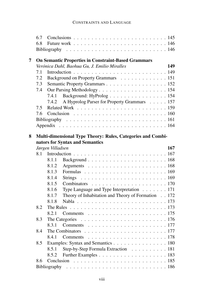## CONSTRAINTS AND LANGUAGE

|   | 6.7 |                                                                                   |  |
|---|-----|-----------------------------------------------------------------------------------|--|
|   | 6.8 |                                                                                   |  |
|   |     |                                                                                   |  |
|   |     |                                                                                   |  |
| 7 |     | <b>On Semantic Properties in Constraint-Based Grammars</b>                        |  |
|   |     | Verónica Dahl, Baohua Gu, J. Emilio Miralles<br>149                               |  |
|   | 7.1 |                                                                                   |  |
|   | 7.2 | Background on Property Grammars 151                                               |  |
|   | 7.3 | Semantic Property Grammars 152                                                    |  |
|   | 7.4 | Our Parsing Methodology154                                                        |  |
|   |     | Background: HyProlog 154<br>7.4.1                                                 |  |
|   |     | A Hyprolog Parser for Property Grammars 157<br>7.4.2                              |  |
|   | 7.5 |                                                                                   |  |
|   | 7.6 |                                                                                   |  |
|   |     | <b>Bibliography</b>                                                               |  |
|   |     |                                                                                   |  |
|   |     |                                                                                   |  |
| 8 |     | Multi-dimensional Type Theory: Rules, Categories and Combi-                       |  |
|   |     | nators for Syntax and Semantics                                                   |  |
|   |     | Jørgen Villadsen<br>167                                                           |  |
|   | 8.1 |                                                                                   |  |
|   |     | 8.1.1                                                                             |  |
|   |     | 8.1.2                                                                             |  |
|   |     | 8.1.3                                                                             |  |
|   |     | 8.1.4                                                                             |  |
|   |     | 8.1.5                                                                             |  |
|   |     | 8.1.6<br>Type Language and Type Interpretation 171                                |  |
|   |     | 8.1.7<br>Theory of Inhabitation and Theory of Formation 172                       |  |
|   |     | 8.1.8                                                                             |  |
|   | 8.2 | The Rules $\ldots \ldots \ldots \ldots \ldots \ldots \ldots \ldots \ldots \ldots$ |  |
|   |     | 8.2.1                                                                             |  |
|   | 8.3 | The Categories                                                                    |  |
|   |     | 8.3.1<br>Comments                                                                 |  |
|   | 8.4 | The Combinators $\ldots \ldots \ldots \ldots \ldots \ldots \ldots \ldots 177$     |  |
|   |     | 8.4.1                                                                             |  |
|   | 8.5 | Examples: Syntax and Semantics 180                                                |  |
|   |     | Step-by-Step Formula Extraction 181<br>8.5.1                                      |  |
|   |     | 8.5.2                                                                             |  |
|   | 8.6 |                                                                                   |  |
|   |     | Bibliography                                                                      |  |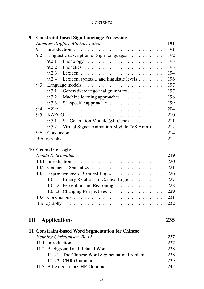# **CONTENTS**

| 9 |     | <b>Constraint-based Sign Language Processing</b>                                 |
|---|-----|----------------------------------------------------------------------------------|
|   |     | Annelies Braffort, Michael Filhol<br>191                                         |
|   | 9.1 |                                                                                  |
|   | 9.2 | Linguistic description of Sign Languages 192                                     |
|   |     | 9.2.1<br>Phonology $\ldots \ldots \ldots \ldots \ldots \ldots \ldots \ldots 193$ |
|   |     | 9.2.2<br>Phonetics                                                               |
|   |     | 9.2.3                                                                            |
|   |     | 9.2.4<br>Lexicon, syntax and linguistic levels 196                               |
|   | 9.3 |                                                                                  |
|   |     | 9.3.1<br>Generative/categorical grammars 197                                     |
|   |     | 9.3.2<br>Machine learning approaches 198                                         |
|   |     | SL-specific approaches 199<br>9.3.3                                              |
|   | 9.4 | AZee                                                                             |
|   | 9.5 |                                                                                  |
|   |     | SL Generation Module (SL Gene) 211<br>9.5.1                                      |
|   |     | 9.5.2<br>Virtual Signer Animation Module (VS Anim) 212                           |
|   | 9.6 | Conclusion                                                                       |
|   |     | <b>Bibliography</b>                                                              |
|   |     | 10 Geometric Logics                                                              |
|   |     | Hedda R. Schmidtke<br>219                                                        |
|   |     |                                                                                  |
|   |     |                                                                                  |
|   |     | 10.3 Expressiveness of Context Logic 226                                         |
|   |     | 10.3.1 Binary Relations in Context Logic 227                                     |
|   |     | 10.3.2 Perception and Reasoning 228                                              |
|   |     | 10.3.3 Changing Perspectives 229                                                 |
|   |     |                                                                                  |
|   |     |                                                                                  |
|   |     |                                                                                  |
| Ш |     | <b>Applications</b><br>235                                                       |
|   |     | 11 Constraint-based Word Segmentation for Chinese                                |
|   |     | Henning Christiansen, Bo Li<br>237                                               |
|   |     |                                                                                  |
|   |     | 11.2 Background and Related Work 238                                             |
|   |     | The Chinese Word Segmentation Problem 238<br>11.2.1                              |
|   |     | 11.2.2 CHR Grammars<br>. 239                                                     |
|   |     | 11.3 A Lexicon in a CHR Grammar 242                                              |
|   |     |                                                                                  |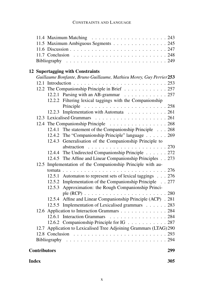|                     |        | 11.4 Maximum Matching $\ldots \ldots \ldots \ldots \ldots \ldots \ldots 243$ |     |
|---------------------|--------|------------------------------------------------------------------------------|-----|
|                     |        | 11.5 Maximum Ambiguous Segments 245                                          |     |
|                     |        |                                                                              |     |
|                     |        |                                                                              |     |
|                     |        |                                                                              |     |
|                     |        | 12 Supertagging with Constraints                                             |     |
|                     |        | Guillaume Bonfante, Bruno Guillaume, Mathieu Morey, Guy Perrier253           |     |
|                     |        |                                                                              |     |
|                     |        | 12.2 The Companionship Principle in Brief 257                                |     |
|                     |        | 12.2.1 Parsing with an AB-grammar 257                                        |     |
|                     |        | 12.2.2 Filtering lexical taggings with the Companionship                     |     |
|                     |        |                                                                              |     |
|                     | 12.2.3 | Implementation with Automata 261                                             |     |
|                     |        |                                                                              |     |
|                     |        | 12.4 The Companionship Principle 268                                         |     |
|                     |        | 12.4.1 The statement of the Companionship Principle 268                      |     |
|                     |        | 12.4.2 The "Companionship Principle" language 269                            |     |
|                     |        | 12.4.3 Generalisation of the Companionship Principle to                      |     |
|                     |        |                                                                              |     |
|                     |        | 12.4.4 The Undirected Companionship Principle 272                            |     |
|                     |        | 12.4.5 The Affine and Linear Companionship Principles 273                    |     |
|                     |        | 12.5 Implementation of the Companionship Principle with au-                  |     |
|                     |        |                                                                              |     |
|                     |        | 12.5.1 Automaton to represent sets of lexical taggings 276                   |     |
|                     |        | 12.5.2 Implementation of the Companionship Principle 277                     |     |
|                     |        | 12.5.3 Approximation: the Rough Companionship Princi-                        |     |
|                     |        |                                                                              |     |
|                     |        | 12.5.4 Affine and Linear Companionship Principle (ACP) . 281                 |     |
|                     |        | 12.5.5 Implementation of Lexicalised grammars 283                            |     |
|                     |        | 12.6 Application to Interaction Grammars 284                                 |     |
|                     |        | 12.6.1 Interaction Grammars 284                                              |     |
|                     |        | 12.6.2 Companionship Principle for IG 287                                    |     |
|                     |        | 12.7 Application to Lexicalised Tree Adjoining Grammars (LTAG)290            |     |
|                     |        |                                                                              |     |
|                     |        |                                                                              |     |
| <b>Contributors</b> |        |                                                                              | 299 |
| <b>Index</b>        |        |                                                                              | 305 |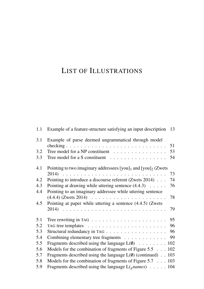# LIST OF ILLUSTRATIONS

| 1.1 | Example of a feature-structure satisfying an input description 13                             |    |
|-----|-----------------------------------------------------------------------------------------------|----|
| 3.1 | Example of parse deemed ungrammatical through model                                           |    |
|     |                                                                                               | 51 |
| 3.2 | Tree model for a NP constituent                                                               | 53 |
| 3.3 | Tree model for a S constituent                                                                | 54 |
| 4.1 | Pointing to two imaginary addressees $[you]_1$ and $[you]_2$ (Zwets                           |    |
|     |                                                                                               | 73 |
| 4.2 | Pointing to introduce a discourse referent (Zwets 2014)                                       | 74 |
| 4.3 | Pointing at drawing while uttering sentence $(4.4.3) \dots$ .                                 | 76 |
| 4.4 | Pointing to an imaginary addressee while uttering sentence                                    | 78 |
|     |                                                                                               |    |
| 4.5 | Pointing at paper while uttering a sentence (4.4.5) (Zwets                                    | 79 |
| 5.1 | Tree rewriting in TAG $\ldots \ldots \ldots \ldots \ldots \ldots \ldots$                      | 95 |
| 5.2 |                                                                                               | 96 |
| 5.3 | Structural redundancy in TAG                                                                  | 96 |
| 5.4 | Combining elementary tree fragments                                                           | 99 |
| 5.5 | Fragments described using the language $L(\emptyset)$ 102                                     |    |
| 5.6 | Models for the combination of fragments of Figure 5.5 102                                     |    |
| 5.7 | Fragments described using the language $L(\theta)$ (continued) 103                            |    |
| 5.8 | Models for the combination of fragments of Figure 5.7 103                                     |    |
| 5.9 | Fragments described using the language $L(\rho n \text{ a} \text{ m} \text{ e} \text{s})$ 104 |    |
|     |                                                                                               |    |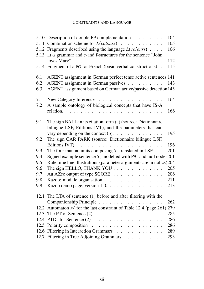# CONSTRAINTS AND LANGUAGE

|      | 5.10 Description of double PP complementation 104                                  |
|------|------------------------------------------------------------------------------------|
|      | 5.11 Combination scheme for $L(colours)$ 105                                       |
|      | 5.12 Fragments described using the language $L(colours)$ 106                       |
|      | 5.13 LFG grammar and c-and f-structures for the sentence "John                     |
|      |                                                                                    |
|      | 5.14 Fragment of a PG for French (basic verbal constructions) 115                  |
| 6.1  | AGENT assignment in German perfect tense active sentences 141                      |
| 6.2  | AGENT assignment in German passives 143                                            |
| 6.3  | AGENT assignment based on German active/passive detection 145                      |
| 7.1  |                                                                                    |
| 7.2  | A sample ontology of biological concepts that have IS-A                            |
|      |                                                                                    |
| 9.1  | The sign BALL in its citation form (a) (source: Dictionnaire                       |
|      | bilingue LSF, Editions IVT), and the parameters that can                           |
|      | vary depending on the context (b). $\ldots \ldots \ldots \ldots \ldots \ldots$ 195 |
| 9.2  | The sign CAR PARK (source: Dictionnaire bilingue LSF,                              |
|      | Editions IVT) $\ldots \ldots \ldots \ldots \ldots \ldots \ldots \ldots \ldots 196$ |
| 9.3  | The four manual units composing $S_1$ translated in LSF 201                        |
| 9.4  | Signed example sentence $S_1$ modelled with P/C and null nodes 201                 |
| 9.5  | Rule time line illustrations (parameter arguments are in italics) 204              |
| 9.6  | The sign HELLO, THANK YOU 205                                                      |
| 9.7  | An AZee output of type SCORE 206                                                   |
| 9.8  | Kazoo: module organisation. 211                                                    |
| 9.9  | Kazoo demo page, version 1.0. 213                                                  |
| 12.1 | The LTA of sentence (1) before and after filtering with the                        |
|      |                                                                                    |
|      | 12.2 Automaton $\mathcal A$ for the last constraint of Table 12.4 (page 261) 279   |
|      |                                                                                    |
|      |                                                                                    |
|      |                                                                                    |
|      | 12.6 Filtering in Interaction Grammars 289                                         |
|      | 12.7 Filtering in Tree Adjoining Grammars 293                                      |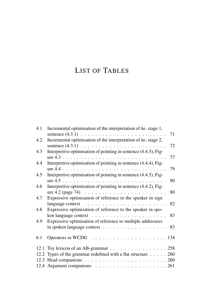# LIST OF TABLES

| 4.1 | Incremental optimisation of the interpretation of he, stage 1,<br>sentence $(4.3.1)$ $\ldots$ $\ldots$ $\ldots$ $\ldots$ $\ldots$ $\ldots$ $\ldots$ $\ldots$ $\ldots$ | 71 |
|-----|-----------------------------------------------------------------------------------------------------------------------------------------------------------------------|----|
| 4.2 | Incremental optimisation of the interpretation of he, stage 2,                                                                                                        |    |
|     | sentence $(4.3.1)$ $\ldots$ $\ldots$ $\ldots$ $\ldots$ $\ldots$ $\ldots$ $\ldots$ $\ldots$ $\ldots$                                                                   | 72 |
| 4.3 | Interpretive optimisation of pointing in sentence (4.4.3), Fig-                                                                                                       | 77 |
| 4.4 | Interpretive optimisation of pointing in sentence (4.4.4), Fig-                                                                                                       | 79 |
| 4.5 | Interpretive optimisation of pointing in sentence (4.4.5), Fig-                                                                                                       | 80 |
| 4.6 | Interpretive optimisation of pointing in sentence (4.4.2), Fig-<br>ure 4.2 (page 74) $\ldots \ldots \ldots \ldots \ldots \ldots \ldots \ldots$                        | 80 |
| 4.7 | Expressive optimisation of reference to the speaker in sign                                                                                                           |    |
| 4.8 | language context $\ldots \ldots \ldots \ldots \ldots \ldots \ldots$<br>Expressive optimisation of reference to the speaker in spo-                                    | 82 |
|     |                                                                                                                                                                       | 83 |
| 4.9 | Expressive optimisation of reference to multiple addressees                                                                                                           |    |
|     | in spoken language context $\ldots \ldots \ldots \ldots \ldots \ldots$                                                                                                | 83 |
| 6.1 |                                                                                                                                                                       |    |
|     | 12.1 Toy lexicon of an AB-grammar 258                                                                                                                                 |    |
|     | 12.2 Types of the grammar redefined with a flat structure 260                                                                                                         |    |
|     |                                                                                                                                                                       |    |
|     |                                                                                                                                                                       |    |
|     |                                                                                                                                                                       |    |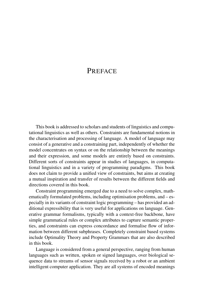# **PREFACE**

This book is addressed to scholars and students of linguistics and computational linguistics as well as others. Constraints are fundamental notions in the characterisation and processing of language. A model of language may consist of a generative and a constraining part, independently of whether the model concentrates on syntax or on the relationship between the meanings and their expression, and some models are entirely based on constraints. Different sorts of constraints appear in studies of languages, in computational linguistics and in a variety of programming paradigms. This book does not claim to provide a unified view of constraints, but aims at creating a mutual inspiration and transfer of results between the different fields and directions covered in this book.

Constraint programming emerged due to a need to solve complex, mathematically formulated problems, including optimisation problems, and – especially in its variants of constraint logic programming – has provided an additional expressibility that is very useful for applications on language. Generative grammar formalisms, typically with a context-free backbone, have simple grammatical rules or complex attributes to capture semantic properties, and constraints can express concordance and formalise flow of information between different subphrases. Completely constraint based systems include Optimality Theory and Property Grammars that are also described in this book.

Language is considered from a general perspective, ranging from human languages such as written, spoken or signed languages, over biological sequence data to streams of sensor signals received by a robot or an ambient intelligent computer application. They are all systems of encoded meanings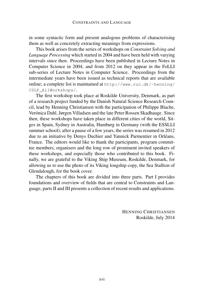in some syntactic form and present analogous problems of characterising them as well as concretely extracting meanings from expressions.

This book arises from the series of workshops on *Constraint Solving and Language Processing* which started in 2004 and have been held with varying intervals since then. Proceedings have been published in Lecture Notes in Computer Science in 2004, and from 2012 on they appear in the FoLLI sub-series of Lecture Notes in Computer Science. Proceedings from the intermediate years have been issued as technical reports that are available online; a complete list is maintained at [http://www.ruc.dk/~henning/](http://www.ruc.dk/~henning/CSLP_AllWorkshops/) [CSLP\\_AllWorkshops/](http://www.ruc.dk/~henning/CSLP_AllWorkshops/).

The first workshop took place at Roskilde University, Denmark, as part of a research project funded by the Danish Natural Science Research Council, lead by Henning Christiansen with the participation of Philippe Blache, Verónica Dahl, Jørgen Villadsen and the late Peter Rossen Skadhauge. Since then, these workshops have taken place in different cities of the world, Sitges in Spain, Sydney in Australia, Hamburg in Germany (with the ESSLLI summer school); after a pause of a few years, the series was resumed in 2012 due to an initiative by Denys Duchier and Yannick Parmentier in Orléans, France. The editors would like to thank the participants, program committee members, organisers and the long row of prominent invited speakers of these workshops, and especially those who contributed to this book. Finally, we are grateful to the Viking Ship Museum, Roskilde, Denmark, for allowing us to use the photo of its Viking longship copy, the Sea Stallion of Glendalough, for the book cover.

The chapters of this book are divided into three parts. Part I provides foundations and overview of fields that are central to Constraints and Language, parts II and III presents a collection of recent results and applications.

> HENNING CHRISTIANSEN Roskilde, July 2014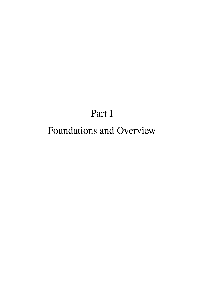# Part I Foundations and Overview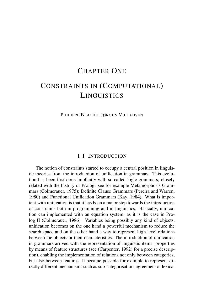# CHAPTER ONE CONSTRAINTS IN (COMPUTATIONAL) **LINGUISTICS**

PHILIPPE BLACHE, JØRGEN VILLADSEN

# 1.1 INTRODUCTION

The notion of constraints started to occupy a central position in linguistic theories from the introduction of unification in grammars. This evolution has been first done implicitly with so-called logic grammars, closely related with the history of Prolog: see for example Metamorphosis Grammars (Colmerauer, 1975); Definite Clause Grammars (Pereira and Warren, 1980) and Functional Unification Grammars (Kay, 1984). What is important with unification is that it has been a major step towards the introduction of constraints both in programming and in linguistics. Basically, unification can implemented with an equation system, as it is the case in Prolog II (Colmerauer, 1986). Variables being possibly any kind of objects, unification becomes on the one hand a powerful mechanism to reduce the search space and on the other hand a way to represent high level relations between the objects or their characteristics. The introduction of unification in grammars arrived with the representation of linguistic items' properties by means of feature structures (see (Carpenter, 1992) for a precise description), enabling the implementation of relations not only between categories, but also between features. It became possible for example to represent directly different mechanisms such as sub-categorisation, agreement or lexical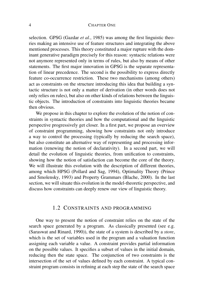#### 4 CHAPTER ONE

selection. GPSG (Gazdar *et al.*, 1985) was among the first linguistic theories making an intensive use of feature structures and integrating the above mentioned processes. This theory constituted a major rupture with the dominant generative paradigm precisely for this reason: syntactic relations were not anymore represented only in terms of rules, but also by means of other statements. The first major innovation in GPSG is the separate representation of linear precedence. The second is the possibility to express directly feature co-occurrence restriction. These two mechanisms (among others) act as constraints on the structure introducing this idea that building a syntactic structure is not only a matter of derivation (in other words does not only relies on rules), but also on other kinds of relations between the linguistic objects. The introduction of constraints into linguistic theories became then obvious.

We propose in this chapter to explore the evolution of the notion of constraints in syntactic theories and how the computational and the linguistic perspective progressively get closer. In a first part, we propose an overview of constraint programming, showing how constraints not only introduce a way to control the processing (typically by reducing the search space), but also constitute an alternative way of representing and processing information (renewing the notion of declarativity). In a second part, we will detail the evolution of linguistic theories, from unification to constraints, showing how the notion of satisfaction can become the core of the theory. We will illustrate this evolution with the description of different theories, among which HPSG (Pollard and Sag, 1994), Optimality Theory (Prince and Smolensky, 1993) and Property Grammars (Blache, 2000). In the last section, we will situate this evolution in the model-theoretic perspective, and discuss how constraints can deeply renew our view of linguistic theory.

#### 1.2 CONSTRAINTS AND PROGRAMMING

One way to present the notion of constraint relies on the state of the search space generated by a program. As classically presented (see e.g. (Saraswat and Rinard, 1990)), the state of a system is described by a *store*, which is the set of variables used in the program and a valuation function assigning each variable a value. A constraint provides partial information on the possible values. It specifies a subset of values in the initial domain, reducing then the state space. The conjunction of two constraints is the intersection of the set of values defined by each constraint. A typical constraint program consists in refining at each step the state of the search space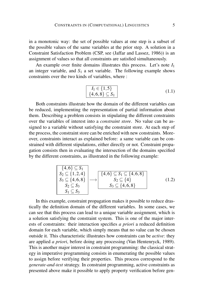in a monotonic way: the set of possible values at one step is a subset of the possible values of the same variables at the prior step. A solution in a Constraint Satisfaction Problem (CSP, see (Jaffar and Lassez, 1986)) is an assignment of values so that all constraints are satisfied simultaneously.

An example over finite domains illustrates this process. Let's note *I*<sup>1</sup> an integer variable, and  $S_1$  a set variable. The following example shows constraints over the two kinds of variables, where :

$$
\begin{aligned} I_1 &\in \{1, 5\} \\ \{4, 6, 8\} &\subseteq S_1 \end{aligned} \tag{1.1}
$$

Both constraints illustrate how the domain of the different variables can be reduced, implementing the representation of partial information about them. Describing a problem consists in stipulating the different constraints over the variables of interest into a *constraint store*. No value can be assigned to a variable without satisfying the constraint store. At each step of the process, the constraint store can be enriched with new constraints. Moreover, constraints interact as explained before: a same variable can be constrained with different stipulations, either directly or not. Constraint propagation consists then in evaluating the intersection of the domains specified by the different constraints, as illustrated in the following example:

$$
\begin{array}{|l|l|}\n\hline\n\{4,6\} \subseteq S_1 \\
S_2 \subseteq \{1,2,4\} \\
S_3 \subseteq \{4,6,8\} \\
S_2 \subseteq S_3 \\
S_1 \subseteq S_3\n\end{array}\n\longrightarrow\n\begin{array}{|l|l|}\n\hline\n\{4,6\} \subseteq S_1 \subseteq \{4,6,8\} \\
S_2 \subseteq \{4\} \\
S_3 \subseteq \{4,6,8\}\n\end{array}
$$
\n(1.2)

In this example, constraint propagation makes it possible to reduce drastically the definition domain of the different variables. In some cases, we can see that this process can lead to a unique variable assignment, which is a solution satisfying the constraint system. This is one of the major interests of constraints: their interaction specifies *a priori* a reduced definition domain for each variable, which simply means that no value can be chosen outside it. This characteristic illustrates how constraints can be *active*: they are applied *a priori*, before doing any processing (Van Hentenryck, 1989). This is another major interest in constraint programming: the classical strategy in imperative programming consists in enumerating the possible values to assign before verifying their properties. This process correspond to the *generate-and-test* strategy. In constraint programming, active constraints as presented above make it possible to apply property verification before gen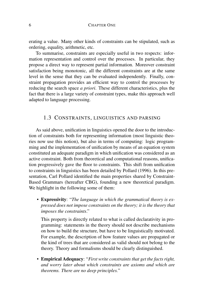erating a value. Many other kinds of constraints can be stipulated, such as ordering, equality, arithmetic, etc.

To summarise, constraints are especially useful in two respects: information representation and control over the processes. In particular, they propose a direct way to represent partial information. Moreover constraint satisfaction being monotonic, all the different constraints are at the same level in the sense that they can be evaluated independently. Finally, constraint propagation provides an efficient way to control the processes by reducing the search space *a priori*. These different characteristics, plus the fact that there is a large variety of constraint types, make this approach well adapted to language processing.

## 1.3 CONSTRAINTS, LINGUISTICS AND PARSING

As said above, unification in linguistics opened the door to the introduction of constraints both for representing information (most linguistic theories now use this notion), but also in terms of computing: logic programming and the implementation of unification by means of an equation system constituted an adequate paradigm in which unification was considered as an active constraint. Both from theoretical and computational reasons, unification progressively gave the floor to constraints. This shift from unification to constraints in linguistics has been detailed by Pollard (1996). In this presentation, Carl Pollard identified the main properties shared by Constraint-Based Grammars (hereafter CBG), founding a new theoretical paradigm. We highlight in the following some of them:

• Expressivity: "*The language in which the grammatical theory is expressed does not impose constraints on the theory; it is the theory that imposes the constraints*."

This property is directly related to what is called declarativity in programming: statements in the theory should not describe mechanisms on how to build the structure, but have to be linguistically motivated. For example, the description of how feature values are propagated or the kind of trees that are considered as valid should not belong to the theory. Theory and formalisms should be clearly distinguished.

• Empirical Adequacy: "*First write constraints that get the facts right, and worry later about which constraints are axioms and which are theorems. There are no deep principles.*"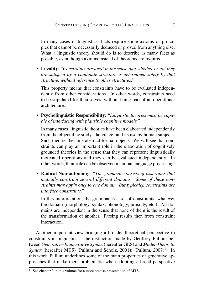In many cases in linguistics, facts require some axioms or principles that cannot be necessarily deduced or proved from anything else. What a linguistic theory should do is to describe as many facts as possible, even though axioms instead of theorems are required.

• Locality: "*Constraints are local in the sense that whether or not they are satisfied by a candidate structure is determined solely by that structure, without reference to other structures.*"

This property means that constraints have to be evaluated independently from other considerations. In other words, constraints need to be stipulated for themselves, without being part of an operational architecture.

• Psycholinguistic Responsibility: "*Linguistic theories must be capable of interfacing with plausible cognitive models.*"

In many cases, linguistic theories have been elaborated independently from the object they study - language- and its use by human subjects. Such theories became abstract formal objects. We will see that constraints can play an important role in the elaboration of cognitively grounded theories in the sense that they can represent linguistically motivated operations and they can be evaluated independently. In other words, their role can be observed in human language processing.

• Radical Non-autonomy: "*The grammar consists of assertions that mutually constrain several different domains. Some of these constraints may apply only to one domain. But typically, constraints are interface constraints.*"

In this interpretation, the grammar is a set of constraints, whatever the domain (morphology, syntax, phonology, prosody, etc.). All domains are independent in the sense that none of them is the result of the transformation of another. Parsing results then from constraint interaction.

Another important view bringing a broader theoretical perspective to constraints in linguistics is the distinction made by Geoffrey Pullum between *Generative-Enumerative Syntax* (hereafter GES) and *Model-Theoretic Syntax* (hereafter MTS) (Pullum and Scholz, 2001); (Pullum,  $2007$ )<sup>1</sup>. In this work, Pullum underlines some of the main properties of generative approaches that make them problematic when adopting a broad perspective

 $<sup>1</sup>$  See chapter 3 in this volume for a more precise presentation of MTS.</sup>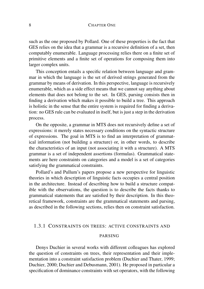#### 8 CHAPTER ONE

such as the one proposed by Pollard. One of these properties is the fact that GES relies on the idea that a grammar is a recursive definition of a set, then computably enumerable. Language processing relies there on a finite set of primitive elements and a finite set of operations for composing them into larger complex units.

This conception entails a specific relation between language and grammar in which the language is the set of derived strings generated from the grammar by means of derivation. In this perspective, language is recursively enumerable, which as a side effect means that we cannot say anything about elements that does not belong to the set. In GES, parsing consists then in finding a derivation which makes it possible to build a tree. This approach is holistic in the sense that the entire system is required for finding a derivation: no GES rule can be evaluated in itself, but is just a step in the derivation process.

On the opposite, a grammar in MTS does not recursively define a set of expressions: it merely states necessary conditions on the syntactic structure of expressions. The goal in MTS is to find an interpretation of grammatical information (not building a structure) or, in other words, to describe the characteristics of an input (not associating it with a structure). A MTS grammar is a set of independent assertions (formulas). Grammatical statements are here constraints on categories and a model is a set of categories satisfying the grammatical constraints.

Pollard's and Pullum's papers propose a new perspective for linguistic theories in which description of linguistic facts occupies a central position in the architecture. Instead of describing how to build a structure compatible with the observations, the question is to describe the facts thanks to grammatical statements that are satisfied by their description. In this theoretical framework, constraints are the grammatical statements and parsing, as described in the following sections, relies then on constraint satisfaction.

#### 1.3.1 CONSTRAINTS ON TREES: ACTIVE CONSTRAINTS AND

#### PARSING

Denys Duchier in several works with different colleagues has explored the question of constraints on trees, their representation and their implementation into a constraint satisfaction problem (Duchier and Thater, 1999; Duchier, 2000; Duchier and Debusmann, 2001). He proposed in particular a specification of dominance constraints with set operators, with the following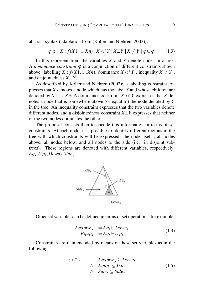abstract syntax (adaptation from (Koller and Niehren, 2002)):

$$
\varphi ::= X : f(X1, ..., Xn) \mid X \lhd^* Y \mid X \perp Y \mid X \neq Y \mid \varphi \cup \varphi' \qquad (1.3)
$$

In this representation, the variables *X* and *Y* denote nodes in a tree. A *dominance constraint* ϕ is a conjunction of different constraints shown above: labelling *X* :  $f(X1,...,Xn)$ , dominance  $X \lhd^* Y$ , inequality  $X \neq Y$ , and disjointedness *X*⊥*Y*.

As described by Koller and Niehren (2002): a labelling constraint expresses that *X* denotes a node which has the label *f* and whose children are denoted by  $X1, \ldots, Xn$ . A dominance constraint  $X \lhd^* Y$  expresses that  $X$  denotes a node that is somewhere above (or equal to) the node denoted by *Y* in the tree. An inequality constraint expresses that the two variables denote different nodes, and a disjointedness constraint *X*⊥*Y* expresses that neither of the two nodes dominates the other.

The proposal consists then to encode this information in terms of set constraints. At each node, it is possible to identify different regions in the tree with which constraints will be expressed: the node itself , all nodes above, all nodes below, and all nodes to the side (i.e. in disjoint subtrees). These regions are denoted with different variables, respectively:  $Eq_x, Up_x, Down_x, Side_x$ :



Other set variables can be defined in terms of set operations, for example:

$$
Eqdown_x = Eq_x \oplus Down_x
$$
  
\n
$$
Equp_x = Eq_x \oplus Up_x
$$
\n(1.4)

Constraints are then encoded by means of these set variables as in the following:

$$
x \triangleleft^{+} y \equiv \text{Eqdown}_{y} \subseteq Down_{x}
$$
  
 
$$
\wedge \text{Equp}_{x} \subseteq Up_{y}
$$
  
 
$$
\wedge \text{Side}_{x} \subseteq \text{Side}_{y}
$$
 (1.5)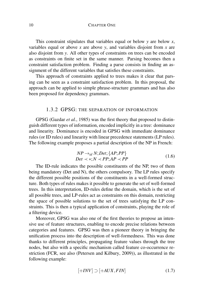#### 10 **CHAPTER ONE**

This constraint stipulates that variables equal or below *y* are below *x*, variables equal or above *x* are above *y*, and variables disjoint from *x* are also disjoint from *y*. All other types of constraints on trees can be encoded as constraints on finite set in the same manner. Parsing becomes then a constraint satisfaction problem. Finding a parse consists in finding an assignment of the different variables that satisfies these constraints.

This approach of constraints applied to trees makes it clear that parsing can be seen as a constraint satisfaction problem. In this proposal, the approach can be applied to simple phrase-structure grammars and has also been proposed for dependency grammars.

### 1.3.2 GPSG: THE SEPARATION OF INFORMATION

GPSG (Gazdar *et al.*, 1985) was the first theory that proposed to distinguish different types of information, encoded implicitly in a tree: dominance and linearity. Dominance is encoded in GPSG with immediate dominance rules (or ID rules) and linearity with linear precedence statements (LP rules). The following example proposes a partial description of the NP in French:

$$
NP \rightarrow_{id} N; Det; {AP; PP}
$$
  
Det  $\prec$  \*; N  $\prec PP; AP \prec PP$  (1.6)

The ID-rule indicates the possible constituents of the NP, two of them being mandatory (Det and N), the others compulsory. The LP rules specify the different possible positions of the constituents in a well-formed structure. Both types of rules makes it possible to generate the set of well-formed trees. In this interpretation, ID-rules define the domain, which is the set of all possible trees, and LP-rules act as constraints on this domain, restricting the space of possible solutions to the set of trees satisfying the LP constraints. This is then a typical application of constraints, playing the role of a filtering device.

Moreover, GPSG was also one of the first theories to propose an intensive use of feature structures, enabling to encode precise relations between categories and features. GPSG was then a pioneer theory in bringing the unification process into the description of well-formedness. This was done thanks to different principles, propagating feature values through the tree nodes, but also with a specific mechanism called feature co-occurrence restriction (FCR, see also (Petersen and Kilbury, 2009)), as illustrated in the following example:

$$
[+INV] \supset [+AUX, FIN] \tag{1.7}
$$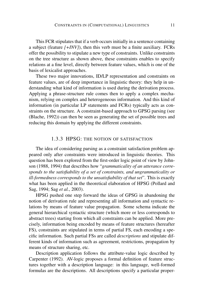This FCR stipulates that if a verb occurs initially in a sentence containing a subject (feature *[+INV]*), then this verb must be a finite auxiliary. FCRs offer the possibility to stipulate a new type of constraints. Unlike constraints on the tree structure as shown above, these constraints enables to specify relations at a fine level, directly between feature values, which is one of the basis of lexicalist approaches.

These two major innovations, ID/LP representation and constraints on feature values, are of deep importance in linguistic theory: they help in understanding what kind of information is used during the derivation process. Applying a phrase-structure rule comes then to apply a complex mechanism, relying on complex and heterogeneous information. And this kind of information (in particular LP statements and FCRs) typically acts as constraints on the structure. A constraint-based approach to GPSG parsing (see (Blache, 1992)) can then be seen as generating the set of possible trees and reducing this domain by applying the different constraints.

### 1.3.3 HPSG: THE NOTION OF SATISFACTION

The idea of considering parsing as a constraint satisfaction problem appeared only after constraints were introduced in linguistic theories. This question has been explored from the first-order logic point of view by Johnson (1988, 1994) that describes how "*grammaticality of an utterance corresponds to the satisfiability of a set of constraints, and ungrammaticality or ill-formedness corresponds to the unsatisfiability of that set*". This is exactly what has been applied in the theoretical elaboration of HPSG (Pollard and Sag, 1994; Sag *et al.*, 2003).

HPSG pushed one step forward the ideas of GPSG in abandoning the notion of derivation rule and representing all information and syntactic relations by means of feature value propagation. Some schema indicate the general hierarchical syntactic structure (which more or less corresponds to abstract trees) starting from which all constraints can be applied. More precisely, information being encoded by means of feature structures (hereafter FS), constraints are stipulated in terms of partial FS, each encoding a specific information. Such partial FSs are called *descriptions* and stipulate different kinds of information such as agreement, restrictions, propagation by means of structure sharing, etc.

Description application follows the attribute-value logic described by Carpenter (1992). AV-logic proposes a formal definition of feature structures together with a description language: in this language, well-formed formulas are the descriptions. All descriptions specify a particular proper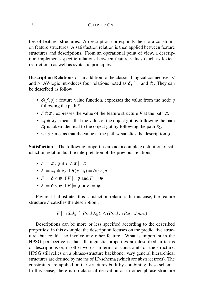ties of features structures. A description corresponds then to a constraint on feature structures. A satisfaction relation is then applied between feature structures and descriptions. From an operational point of view, a description implements specific relations between feature values (such as lexical restrictions) as well as syntactic principles.

Description Relations : In addition to the classical logical connectives ∨ **EURICAL TRENOTE CONSTRUCTED** introduces four relations noted as  $\delta$ ,  $\dot{=}$ , : and *@*. They can be described as follow :

- $\delta(f,q)$ : feature value function, expresses the value from the node *q* following the path *f*.
- $F@$ π : expresses the value of the feature structure *F* at the path  $\pi$ .
- $\pi_1 = \pi_2$ : means that the value of the object got by following the path  $\pi_1$  is token identical to the object got by following the path  $\pi_2$ .
- $\pi : \phi$ : means that the value at the path  $\pi$  satisfies the description  $\phi$ .

Satisfaction The following properties are not a complete definition of satisfaction relation but the interpretation of the previous relations :

- $F \models \pi : \phi \text{ if } F \circledcirc \pi \models \pi$
- $F \models \pi_1 = \pi_2 \text{ if } \delta(\pi_1, q) = \delta(\pi_2, q)$
- $F \models \phi \land \psi$  if  $F \models \phi$  and  $F \models \psi$
- $F \models \phi \lor \psi$  if  $F \models \phi$  or  $F \models \psi$

Figure 1.1 illustrates this satisfaction relation. In this case, the feature structure *F* satisfies the description :

$$
F \models (Subj \doteq Pred \; Agt) \land (Pred : (Pat : John))
$$

Descriptions can be more or less specified according to the described properties: in this example, the description focuses on the predicative structure, but could also involve any other feature. What is important in the HPSG perspective is that all linguistic properties are described in terms of descriptions or, in other words, in terms of constraints on the structure. HPSG still relies on a phrase-structure backbone: very general hierarchical structures are defined by means of ID-schema (which are abstract trees). The constraints are applied on the structures built by combining these schema. In this sense, there is no classical derivation as in other phrase-structure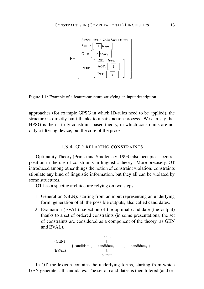

Figure 1.1: Example of a feature-structure satisfying an input description

approaches (for example GPSG in which ID-rules need to be applied), the structure is directly built thanks to a satisfaction process. We can say that HPSG is then a truly constraint-based theory, in which constraints are not only a filtering device, but the core of the process.

## 1.3.4 OT: RELAXING CONSTRAINTS

Optimality Theory (Prince and Smolensky, 1993) also occupies a central position in the use of constraints in linguistic theory. More precisely, OT introduced among other things the notion of constraint violation: constraints stipulate any kind of linguistic information, but they all can be violated by some structures.

OT has a specific architecture relying on two steps:

- 1. Generation (GEN): starting from an input representing an underlying form, generation of all the possible outputs, also called candidates.
- 2. Evaluation (EVAL): selection of the optimal candidate (the output) thanks to a set of ordered constraints (in some presentations, the set of constraints are considered as a component of the theory, as GEN and EVAL).



In OT, the lexicon contains the underlying forms, starting from which GEN generates all candidates. The set of candidates is then filtered (and or-